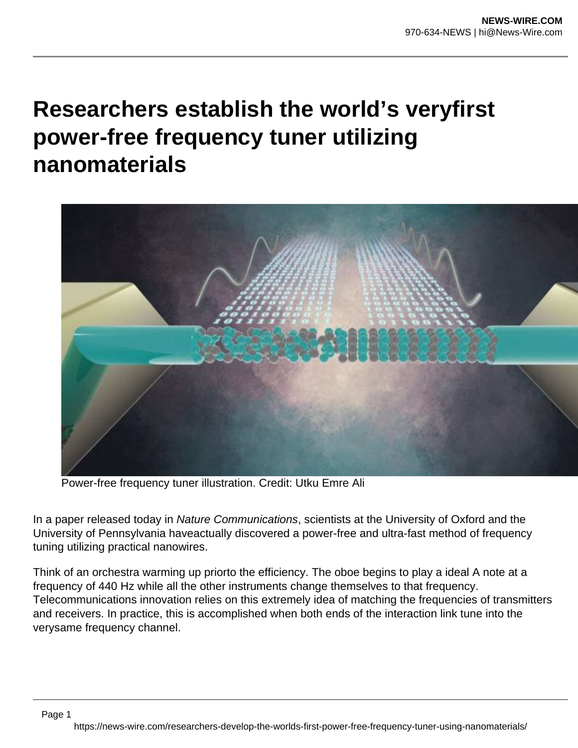## **Researchers establish the world's veryfirst power-free frequency tuner utilizing nanomaterials**



Power-free frequency tuner illustration. Credit: Utku Emre Ali

In a paper released today in Nature Communications, scientists at the University of Oxford and the University of Pennsylvania haveactually discovered a power-free and ultra-fast method of frequency tuning utilizing practical nanowires.

Think of an orchestra warming up priorto the efficiency. The oboe begins to play a ideal A note at a frequency of 440 Hz while all the other instruments change themselves to that frequency. Telecommunications innovation relies on this extremely idea of matching the frequencies of transmitters and receivers. In practice, this is accomplished when both ends of the interaction link tune into the verysame frequency channel.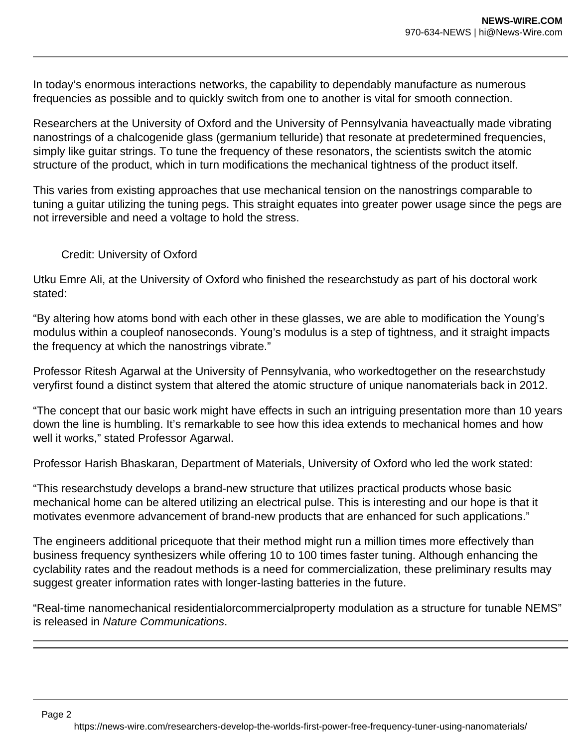In today's enormous interactions networks, the capability to dependably manufacture as numerous frequencies as possible and to quickly switch from one to another is vital for smooth connection.

Researchers at the University of Oxford and the University of Pennsylvania haveactually made vibrating nanostrings of a chalcogenide glass (germanium telluride) that resonate at predetermined frequencies, simply like guitar strings. To tune the frequency of these resonators, the scientists switch the atomic structure of the product, which in turn modifications the mechanical tightness of the product itself.

This varies from existing approaches that use mechanical tension on the nanostrings comparable to tuning a guitar utilizing the tuning pegs. This straight equates into greater power usage since the pegs are not irreversible and need a voltage to hold the stress.

## Credit: University of Oxford

Utku Emre Ali, at the University of Oxford who finished the researchstudy as part of his doctoral work stated:

"By altering how atoms bond with each other in these glasses, we are able to modification the Young's modulus within a coupleof nanoseconds. Young's modulus is a step of tightness, and it straight impacts the frequency at which the nanostrings vibrate."

Professor Ritesh Agarwal at the University of Pennsylvania, who workedtogether on the researchstudy veryfirst found a distinct system that altered the atomic structure of unique nanomaterials back in 2012.

"The concept that our basic work might have effects in such an intriguing presentation more than 10 years down the line is humbling. It's remarkable to see how this idea extends to mechanical homes and how well it works," stated Professor Agarwal.

Professor Harish Bhaskaran, Department of Materials, University of Oxford who led the work stated:

"This researchstudy develops a brand-new structure that utilizes practical products whose basic mechanical home can be altered utilizing an electrical pulse. This is interesting and our hope is that it motivates evenmore advancement of brand-new products that are enhanced for such applications."

The engineers additional pricequote that their method might run a million times more effectively than business frequency synthesizers while offering 10 to 100 times faster tuning. Although enhancing the cyclability rates and the readout methods is a need for commercialization, these preliminary results may suggest greater information rates with longer-lasting batteries in the future.

"Real-time nanomechanical residentialorcommercialproperty modulation as a structure for tunable NEMS" is released in Nature Communications.

Page 2